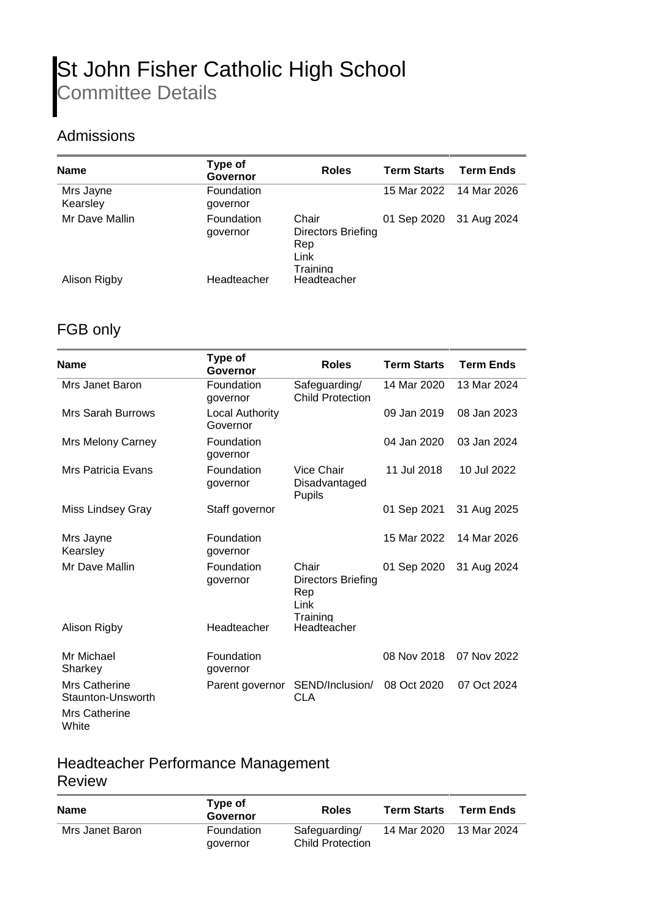# St John Fisher Catholic High School Committee Details

### Admissions

| <b>Name</b>           | Type of<br>Governor           | <b>Roles</b>                                           | <b>Term Starts</b> | <b>Term Ends</b>        |
|-----------------------|-------------------------------|--------------------------------------------------------|--------------------|-------------------------|
| Mrs Jayne<br>Kearsley | <b>Foundation</b><br>governor |                                                        |                    | 15 Mar 2022 14 Mar 2026 |
| Mr Dave Mallin        | <b>Foundation</b><br>governor | Chair<br>Directors Briefing<br>Rep<br>Link<br>Training |                    | 01 Sep 2020 31 Aug 2024 |
| Alison Rigby          | Headteacher                   | Headteacher                                            |                    |                         |

#### FGB only

| <b>Name</b>                                                         | Type of<br>Governor                | <b>Roles</b>                                           | <b>Term Starts</b> | <b>Term Ends</b> |
|---------------------------------------------------------------------|------------------------------------|--------------------------------------------------------|--------------------|------------------|
| Mrs Janet Baron                                                     | Foundation<br>governor             | Safeguarding/<br><b>Child Protection</b>               | 14 Mar 2020        | 13 Mar 2024      |
| <b>Mrs Sarah Burrows</b>                                            | <b>Local Authority</b><br>Governor |                                                        | 09 Jan 2019        | 08 Jan 2023      |
| Mrs Melony Carney                                                   | Foundation<br>governor             |                                                        | 04 Jan 2020        | 03 Jan 2024      |
| Mrs Patricia Evans                                                  | Foundation<br>governor             | Vice Chair<br>Disadvantaged<br><b>Pupils</b>           | 11 Jul 2018        | 10 Jul 2022      |
| Miss Lindsey Gray                                                   | Staff governor                     |                                                        | 01 Sep 2021        | 31 Aug 2025      |
| Mrs Jayne<br>Kearsley                                               | Foundation<br>governor             |                                                        | 15 Mar 2022        | 14 Mar 2026      |
| Mr Dave Mallin                                                      | Foundation<br>governor             | Chair<br>Directors Briefing<br>Rep<br>Link<br>Training | 01 Sep 2020        | 31 Aug 2024      |
| Alison Rigby                                                        | Headteacher                        | Headteacher                                            |                    |                  |
| Mr Michael<br>Sharkey                                               | Foundation<br>governor             |                                                        | 08 Nov 2018        | 07 Nov 2022      |
| Mrs Catherine<br>Staunton-Unsworth<br><b>Mrs Catherine</b><br>White | Parent governor                    | SEND/Inclusion/<br><b>CLA</b>                          | 08 Oct 2020        | 07 Oct 2024      |

#### Headteacher Performance Management Review

| Name            | Type of<br>Governor    | <b>Roles</b>                             | <b>Term Starts</b> | <b>Term Ends</b> |
|-----------------|------------------------|------------------------------------------|--------------------|------------------|
| Mrs Janet Baron | Foundation<br>governor | Safeguarding/<br><b>Child Protection</b> | 14 Mar 2020        | 13 Mar 2024      |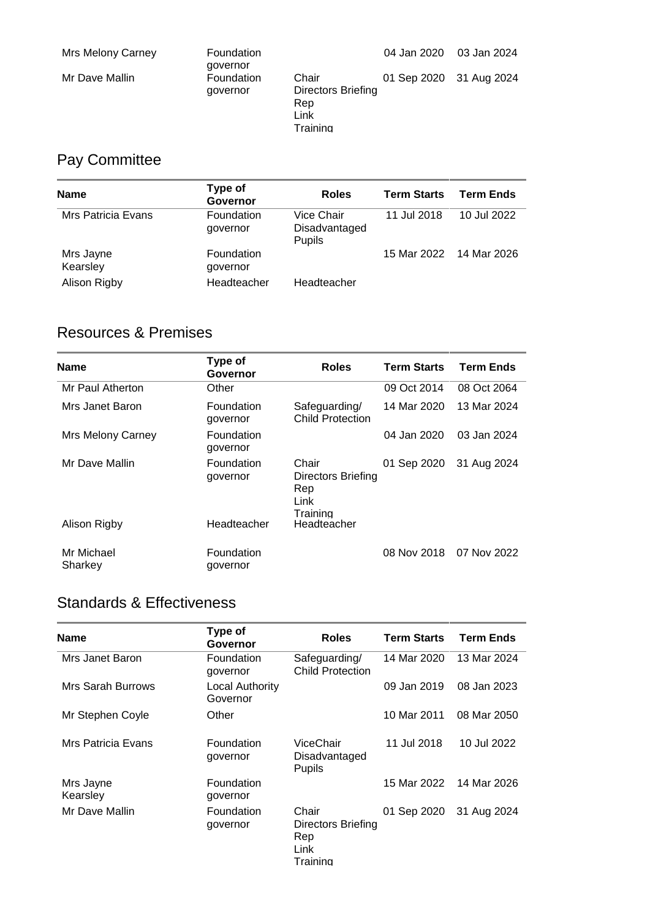| Mrs Melony Carney | Foundation<br>governor |                                                        | 04 Jan 2020             | 03 Jan 2024 |
|-------------------|------------------------|--------------------------------------------------------|-------------------------|-------------|
| Mr Dave Mallin    | Foundation<br>governor | Chair<br>Directors Briefing<br>Rep<br>Link<br>Training | 01 Sep 2020 31 Aug 2024 |             |

# Pay Committee

| Name                  | Type of<br>Governor    | <b>Roles</b>                          | <b>Term Starts</b> | <b>Term Ends</b> |
|-----------------------|------------------------|---------------------------------------|--------------------|------------------|
| Mrs Patricia Evans    | Foundation<br>governor | Vice Chair<br>Disadvantaged<br>Pupils | 11 Jul 2018        | 10 Jul 2022      |
| Mrs Jayne<br>Kearsley | Foundation<br>governor |                                       | 15 Mar 2022        | 14 Mar 2026      |
| Alison Rigby          | Headteacher            | Headteacher                           |                    |                  |

### Resources & Premises

| <b>Name</b>              | Type of<br>Governor    | <b>Roles</b>                                           | <b>Term Starts</b> | <b>Term Ends</b> |
|--------------------------|------------------------|--------------------------------------------------------|--------------------|------------------|
| Mr Paul Atherton         | Other                  |                                                        | 09 Oct 2014        | 08 Oct 2064      |
| Mrs Janet Baron          | Foundation<br>governor | Safeguarding/<br><b>Child Protection</b>               | 14 Mar 2020        | 13 Mar 2024      |
| <b>Mrs Melony Carney</b> | Foundation<br>governor |                                                        | 04 Jan 2020        | 03 Jan 2024      |
| Mr Dave Mallin           | Foundation<br>governor | Chair<br>Directors Briefing<br>Rep<br>Link<br>Training | 01 Sep 2020        | 31 Aug 2024      |
| Alison Rigby             | Headteacher            | Headteacher                                            |                    |                  |
| Mr Michael<br>Sharkey    | Foundation<br>governor |                                                        | 08 Nov 2018        | 07 Nov 2022      |

# Standards & Effectiveness

| Name                     | Type of<br>Governor                | <b>Roles</b>                                            | <b>Term Starts</b> | <b>Term Ends</b> |
|--------------------------|------------------------------------|---------------------------------------------------------|--------------------|------------------|
| Mrs Janet Baron          | Foundation<br>governor             | Safeguarding/<br><b>Child Protection</b>                | 14 Mar 2020        | 13 Mar 2024      |
| <b>Mrs Sarah Burrows</b> | <b>Local Authority</b><br>Governor |                                                         | 09 Jan 2019        | 08 Jan 2023      |
| Mr Stephen Coyle         | Other                              |                                                         | 10 Mar 2011        | 08 Mar 2050      |
| Mrs Patricia Evans       | <b>Foundation</b><br>governor      | ViceChair<br>Disadvantaged<br><b>Pupils</b>             | 11 Jul 2018        | 10 Jul 2022      |
| Mrs Jayne<br>Kearsley    | Foundation<br>governor             |                                                         | 15 Mar 2022        | 14 Mar 2026      |
| Mr Dave Mallin           | Foundation<br>governor             | Chair<br>Directors Briefing<br>Rep<br>Link.<br>Training | 01 Sep 2020        | 31 Aug 2024      |